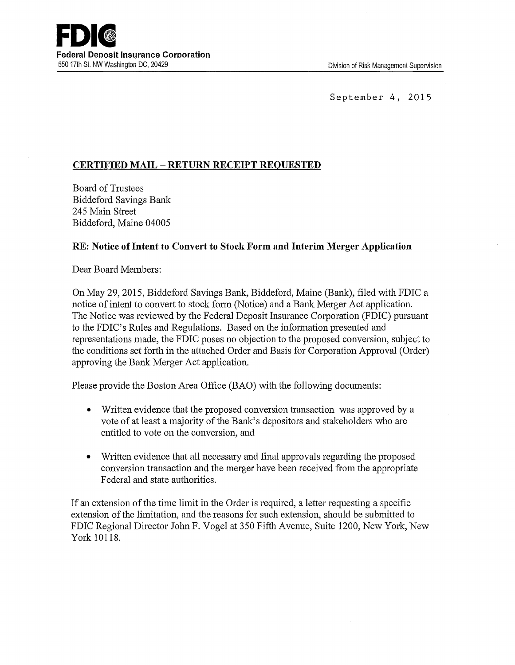September 4, 2015

# **CERTIFIED MAIL- RETURN RECEIPT REQUESTED**

Board of Trustees Biddeford Savings Bank 245 Main Street Biddeford, Maine 04005

### **RE: Notice of Intent to Convert to Stock Form and Interim Merger Application**

Dear Board Members:

On May 29, 2015, Biddeford Savings Bank, Biddeford, Maine (Bank), filed with FDIC a notice of intent to convert to stock form (Notice) and a Bank Merger Act application. The Notice was reviewed by the Federal Deposit Insurance Corporation (FDIC) pursuant to the FDIC's Rules and Regulations. Based on the information presented and representations made, the FDIC poses no objection to the proposed conversion, subject to the conditions set forth in the attached Order and Basis for Corporation Approval (Order) approving the Bank Merger Act application.

Please provide the Boston Area Office (BAO) with the following documents:

- Written evidence that the proposed conversion transaction was approved by a vote of at least a majority of the Bank's depositors and stakeholders who are entitled to vote on the conversion, and
- Written evidence that all necessary and final approvals regarding the proposed conversion transaction and the merger have been received from the appropriate Federal and state authorities.

If an extension of the time limit in the Order is required, a letter requesting a specific extension of the limitation, and the reasons for such extension, should be submitted to FDIC Regional Director John F. Vogel at 350 Fifth Avenue, Suite 1200, New York, New York 10118.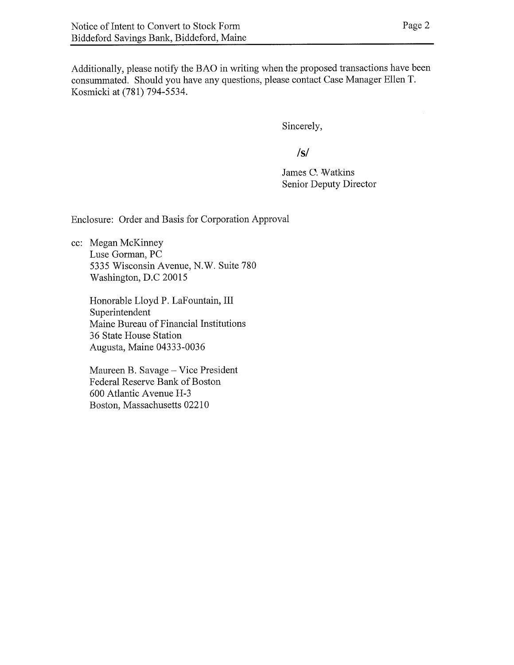Additionally, please notify the BAO in writing when the proposed transactions have been consummated. Should you have any questions, please contact Case Manager Ellen T, Kosmicki at (781) 794-5534.

Sincerely,

**/s/**

James C. Watkins Senior Deputy Director

Enclosure: Order and Basis for Corporation Approval

cc: Megan McKinney Luse Gorman, PC 5335 Wisconsin Avenue, N.W. Suite 780 Washington, D,C 20015

Honorable Lloyd P. LaFountain, III Superintendent Maine Bureau of Financial Institutions 36 State House Station Augusta, Maine 04333-0036

Maureen B. Savage —Vice President Federal Reserve Bank of Boston 600 Atlantic Avenue H-3 Boston, Massachusetts 02210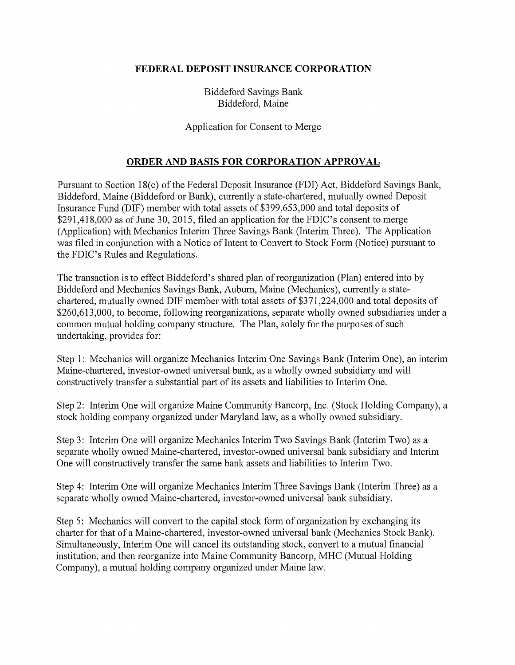### **FEDERAL DEPOSIT INSURANCE CORPORATION**

Biddeford Savings Banlc Biddeford, Maine

#### Application for Consent to Merge

## **ORDER AND BASIS FOR CORPORATION APPROVAL**

Pursuant to Section 18(c) of the Federal Deposit Insurance (FDI) Act, Biddeford Savings Bank, Biddeford, Maine (Biddeford or Bank), currently a state-chartered, mutually owned Deposit Insurance Fund (DIF) member with total assets of \$399,653,000 and total deposits of \$291,418,000 as of June 30, 2015, filed an application for the FDIC's consent to merge (Application) with Mechanics Interim Three Savings Bank (Interim Three). The Application was filed in conjunction with a Notice of Intent to Convert to Stock Form (Notice) pursuant to the FDIC's Rules and Regulations.

The transaction is to effect Biddeford's shared plan of reorganization (Plan) entered into by Biddeford and Mechanics Savings Bank, Auburn, Maine (Mechanics), currently a statechartered, mutually owned DIF member with total assets of \$371,224,000 and total deposits of \$260,613,000, to become, following reorganizations, separate wholly owned subsidiaries under a common mutual holding company structure. The Plan, solely for the purposes of such undetiaking, provides for:

Step 1: Mechanics will organize Mechanics Interim One Savings Banlc (Interim One), an interim Maine-chartered, investor-owned universal bank, as a wholly owned subsidiary and will constructively transfer a substantial part of its assets and liabilities to Interim One.

Step 2: Interim One will organize Maine Community Bancorp, Inc. (Stock Holding Company), a stock holding company organized under Maryland law, as a wholly owned subsidiary.

Step 3: Interim One will organize Mechanics Interim Two Savings Bank (Interim Two) as a separate wholly owned Maine-chartered, investor-owned universal bank subsidiary and Interim One will constructively transfer the same bank assets and liabilities to Interim Two.

Step 4: Interim One will organize Mechanics Interim Three Savings Bank (Interim Three) as a separate wholly owned Maine-chartered, investor-owned universal bank subsidiary.

Step 5: Mechanics will convert to the capital stock form of organization by exchanging its charter for that of a Maine-chartered, investor-owned universal bank (Mechanics Stock Bank). Simultaneously, Interim One will cancel its outstanding stock, convert to a mutual financial institution, and then reorganize into Maine Community Bancorp, MHC (Mutual Holding Company), a mutual holding company organized under Maine law.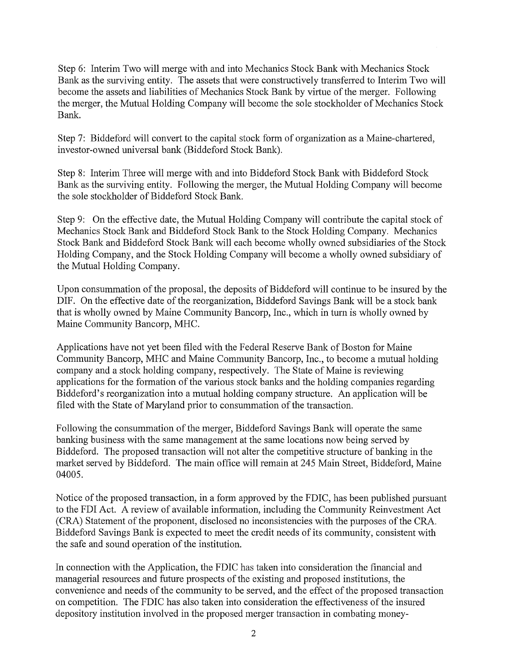Step 6: Interim Two will merge with and into Mechanics Stock Bank with Mechanics Stock Bank as the surviving entity. The assets that were constructively transferred to Interim Two will become the assets and liabilities of Mechanics Stock Bank by virtue of the merger. Following the merger, the Mutual Holding Company will become the sole stockholder of Mechanics Stock Bank.

Step 7: Biddeford will convert to the capital stock form of organization as a Maine-chartered, investor-owned universal bank (Biddeford Stock Bank).

Step 8: Interim Three will merge with and into Biddeford Stock Bank with Biddeford Stock Bank as the surviving entity. Following the merger, the Mutual Holding Company will become the sole stockholder of Biddeford Stock Bank.

Step 9: On the effective date, the Mutual Holding Company will contribute the capital stock of Mechanics Stock Bank and Biddeford Stock Bank to the Stock Holding Company. Mechanics Stock Bank and Biddeford Stock Bank will each become wholly owned subsidiaries of the Stock Holding Company, and the Stock Holding Company will become a wholly owned subsidiary of the Mutual Holding Company.

Upon consummation of the proposal, the deposits of Biddeford will continue to be insured by the DIP. On the effective date of the reorganization, Biddeford Savings Bank will be a stock bank that is wholly owned by Maine Community Bancorp, Inc., which in turn is wholly owned by Maine Community Bancorp, MHC.

Applications have not yet been filed with the Federal Reserve Bank of Boston for Maine Community Bancorp, MHC and Maine Community Bancorp, Inc., to become a mutual holding company and a stock holding company, respectively. The State of Maine is reviewing applications for the formation of the various stock banks and the holding companies regarding Biddeford's reorganization into a mutual holding company structure. An application will be filed with the State of Maryland prior to consummation of the transaction.

Following the consummation of the merger, Biddeford Savings Bank will operate the same banking business with the same management at the same locations now being served by Biddeford. The proposed transaction will not alter the competitive structure of banking in the market served by Biddeford. The main office will remain at 245 Main Street, Biddeford, Maine 04005.

Notice of the proposed transaction, in a form approved by the FDIC, has been published pursuant to the FDI Act. A review of available information, including the Community Reinvestment Act (CRA) Statement of the proponent, disclosed no inconsistencies with the purposes of the CRA. Biddeford Savings Bank is expected to meet the credit needs of its community, consistent with the safe and sound operation of the institution.

In connection with the Application, the FDIC has taken into consideration the financial and managerial resources and future prospects of the existing and proposed institutions, the convenience and needs of the community to be served, and the effect of the proposed transaction on competition. The FDIC has also taken into consideration the effectiveness of the insured depository institution involved in the proposed merger transaction in combating money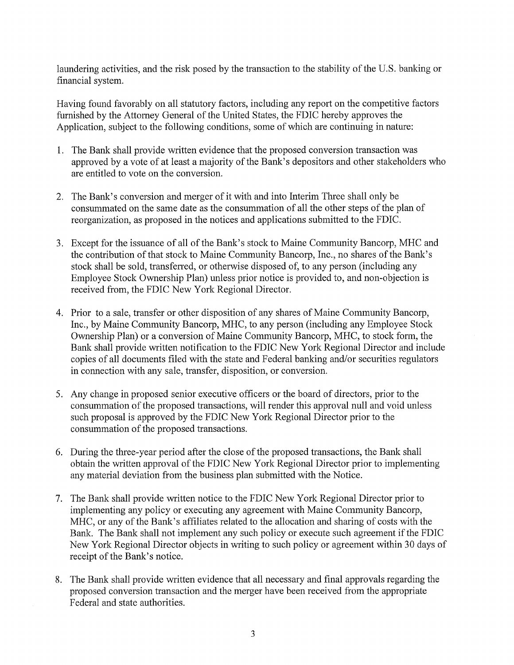laundering activities, and the risk posed by the transaction to the stability of the U.S. banking or financial system.

Having found favorably on all statutory factors, including any report on the competitive factors furnished by the Attorney General of the United States, the FDIC hereby approves the Application, subject to the following conditions, some of which are continuing in nature:

- 1. The Bank shall provide written evidence that the proposed conversion transaction was approved by a vote of at least a majority of the Bank's depositors and other stakeholders who are entitled to vote on the conversion.
- 2. The Bank's conversion and merger of it with and into Interim Three shall only be consummated on the same date as the consummation of all the other steps of the plan of reorganization, as proposed in the notices and applications submitted to the FDIC.
- 3. Except for the issuance of all of the Bank's stock to Maine Community Bancorp, MHC and the contribution of that stock to Maine Community Bancorp, Inc., no shares of the Bank's stock shall be sold, transferred, or otherwise disposed of, to any person (including any Employee Stock Ownership Plan) unless prior notice is provided to, and non-objection is received from, the FDIC New York Regional Director.
- 4. Prior to a sale, transfer or other disposition of any shares of Maine Community Bancorp, Inc., by Maine Community Bancorp, MHC, to any person (including any Employee Stock Ownership Plan) or a conversion of Maine Community Bancorp, MHC, to stock form, the Bank shall provide written notification to the FDIC New York Regional Director and include copies of all documents filed with the state and Federal banking and/or securities regulators in connection with any sale, transfer, disposition, or conversion.
- 5. Any change in proposed senior executive officers or the board of directors, prior to the consummation of the proposed transactions, will render this approval null and void unless such proposal is approved by the FDIC New York Regional Director prior to the consummation of the proposed transactions.
- 6. During the three-year period after the close of the proposed transactions, the Bank shall obtain the written approval of the FDIC New York Regional Director prior to implementing any material deviation from the business plan submitted with the Notice.
- 7. The Bank shall provide written notice to the FDIC New York Regional Director prior to implementing any policy or executing any agreement with Maine Community Bancorp, MHC, or any of the Bank's affiliates related to the allocation and sharing of costs with the Bank. The Bank shall not implement any such policy or execute such agreement if the FDIC New York Regional Director objects in writing to such policy or agreement within 30 days of receipt of the Bank's notice.
- 8. The Bank shall provide written evidence that all necessary and final approvals regarding the proposed conversion transaction and the merger have been received from the appropriate Federal and state authorities.